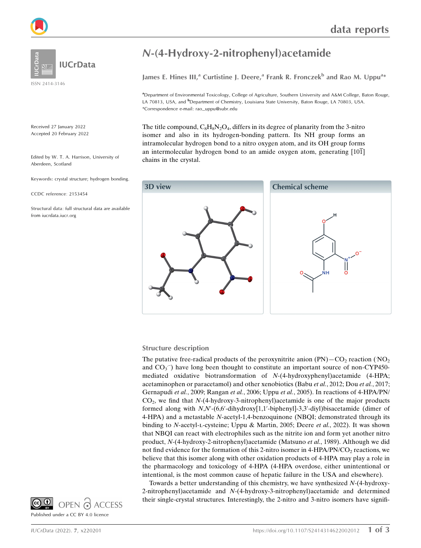

**IUCrData** 

ISSN 2414-3146

Received 27 January 2022 Accepted 20 February 2022

Edited by W. T. A. Harrison, University of Aberdeen, Scotland

Keywords: crystal structure; hydrogen bonding.

CCDC reference: 2153454

Structural data: full structural data are available from iucrdata.iucr.org

## N-(4-Hydroxy-2-nitrophenyl)acetamide

James E. Hines III,<sup>a</sup> Curtistine J. Deere,<sup>a</sup> Frank R. Fronczek<sup>b</sup> and Rao M. Uppu<sup>a\*</sup>

a Department of Environmental Toxicology, College of Agriculture, Southern University and A&M College, Baton Rouge, LA 70813, USA, and <sup>b</sup>Department of Chemistry, Louisiana State University, Baton Rouge, LA 70803, USA. \*Correspondence e-mail: rao\_uppu@subr.edu

The title compound,  $C_8H_8N_2O_4$ , differs in its degree of planarity from the 3-nitro isomer and also in its hydrogen-bonding pattern. Its NH group forms an intramolecular hydrogen bond to a nitro oxygen atom, and its OH group forms an intermolecular hydrogen bond to an amide oxygen atom, generating  $[10\overline{1}]$ chains in the crystal.



### Structure description

The putative free-radical products of the peroxynitrite anion  $\text{(PN)} - \text{CO}_2$  reaction  $\text{(NO)}_2$ and CO<sub>3</sub><sup>-</sup>) have long been thought to constitute an important source of non-CYP450mediated oxidative biotransformation of N-(4-hydroxyphenyl)acetamide (4-HPA; acetaminophen or paracetamol) and other xenobiotics (Babu et al., 2012; Dou et al., 2017; Gernapudi et al., 2009; Rangan et al., 2006; Uppu et al., 2005). In reactions of 4-HPA/PN/  $CO<sub>2</sub>$ , we find that  $N-(4-hydroxy-3-nitrophenyl)$ acetamide is one of the major products formed along with N,N'-(6,6'-dihydroxy[1,1'-biphenyl]-3,3'-diyl)bisacetamide (dimer of 4-HPA) and a metastable N-acetyl-1,4-benzoquinone (NBQI; demonstrated through its binding to N-acetyl-L-cysteine; Uppu & Martin, 2005; Deere *et al.*, 2022). It was shown that NBQI can react with electrophiles such as the nitrite ion and form yet another nitro product, N-(4-hydroxy-2-nitrophenyl)acetamide (Matsuno et al., 1989). Although we did not find evidence for the formation of this 2-nitro isomer in 4-HPA/PN/CO<sub>2</sub> reactions, we believe that this isomer along with other oxidation products of 4-HPA may play a role in the pharmacology and toxicology of 4-HPA (4-HPA overdose, either unintentional or intentional, is the most common cause of hepatic failure in the USA and elsewhere).

Towards a better understanding of this chemistry, we have synthesized N-(4-hydroxy-2-nitrophenyl)acetamide and N-(4-hydroxy-3-nitrophenyl)acetamide and determined their single-crystal structures. Interestingly, the 2-nitro and 3-nitro isomers have signifi-

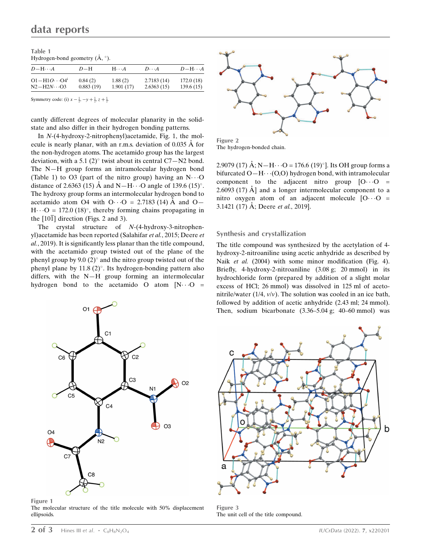| Table 1                                            |  |  |
|----------------------------------------------------|--|--|
| Hydrogen-bond geometry $(\mathring{A}, \degree)$ . |  |  |

| $D-\mathrm{H}\cdots A$            | $D-H$     | $H \cdot \cdot \cdot A$ | $D \cdot \cdot \cdot A$ | $D-\mathrm{H}\cdots A$ |
|-----------------------------------|-----------|-------------------------|-------------------------|------------------------|
| $O1 - H1O \cdots O4$ <sup>1</sup> | 0.84(2)   | 1.88(2)                 | 2.7183(14)              | 172.0(18)              |
| $N2-H2N\cdots$ O3                 | 0.883(19) | 1.901(17)               | 2.6363(15)              | 139.6(15)              |

Symmetry code: (i)  $x - \frac{1}{2}$ ,  $-y + \frac{1}{2}$ ,  $z + \frac{1}{2}$ .

cantly different degrees of molecular planarity in the solidstate and also differ in their hydrogen bonding patterns.

In N-(4-hydroxy-2-nitrophenyl)acetamide, Fig. 1, the molecule is nearly planar, with an r.m.s. deviation of  $0.035 \text{ Å}$  for the non-hydrogen atoms. The acetamido group has the largest deviation, with a 5.1 (2) $^{\circ}$  twist about its central C7-N2 bond. The N—H group forms an intramolecular hydrogen bond (Table 1) to O3 (part of the nitro group) having an  $N \cdot \cdot \cdot O$ distance of 2.6363 (15)  $\AA$  and N—H $\cdots$ O angle of 139.6 (15)°. The hydroxy group forms an intermolecular hydrogen bond to acetamido atom O4 with  $O \cdot \cdot \cdot O = 2.7183$  (14) Å and O- $H \cdot \cdot \cdot O = 172.0$  (18)°, thereby forming chains propagating in the  $[10\overline{1}]$  direction (Figs. 2 and 3).

The crystal structure of N-(4-hydroxy-3-nitrophenyl)acetamide has been reported (Salahifar et al., 2015; Deere et al., 2019). It is significantly less planar than the title compound, with the acetamido group twisted out of the plane of the phenyl group by 9.0  $(2)^\circ$  and the nitro group twisted out of the phenyl plane by  $11.8 \,(2)^\circ$ . Its hydrogen-bonding pattern also differs, with the N—H group forming an intermolecular hydrogen bond to the acetamido O atom  $[N \cdots]$  =



Figure 1

The molecular structure of the title molecule with 50% displacement ellipsoids.



The hydrogen-bonded chain.

2.9079 (17) Å; N-H $\cdot \cdot$  O = 176.6 (19)°]. Its OH group forms a bifurcated  $O-H \cdots (O, O)$  hydrogen bond, with intramolecular component to the adjacent nitro group  $[0 \cdots 0]$  = 2.6093 (17)  $\AA$  and a longer intermolecular component to a nitro oxygen atom of an adjacent molecule  $[0 \cdots 0]$  = 3.1421 (17) Å; Deere *et al.*, 2019].

#### Synthesis and crystallization

The title compound was synthesized by the acetylation of 4 hydroxy-2-nitroaniline using acetic anhydride as described by Naik et al. (2004) with some minor modification (Fig. 4). Briefly, 4-hydroxy-2-nitroaniline (3.08 g; 20 mmol) in its hydrochloride form (prepared by addition of a slight molar excess of HCl; 26 mmol) was dissolved in 125 ml of acetonitrile/water  $(1/4, v/v)$ . The solution was cooled in an ice bath, followed by addition of acetic anhydride (2.43 ml; 24 mmol). Then, sodium bicarbonate (3.36–5.04 g; 40–60 mmol) was



Figure 3 The unit cell of the title compound.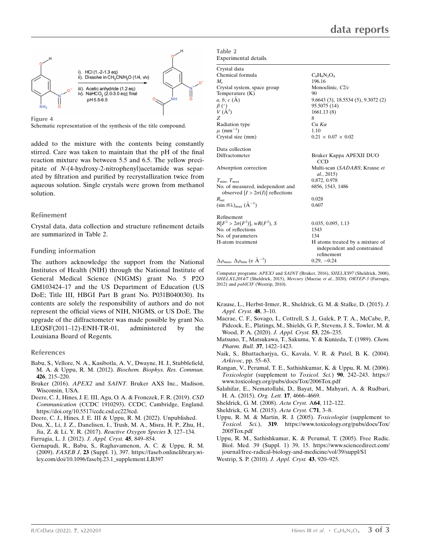

Figure 4

Schematic representation of the synthesis of the title compound.

added to the mixture with the contents being constantly stirred. Care was taken to maintain that the pH of the final reaction mixture was between 5.5 and 6.5. The yellow precipitate of N-(4-hydroxy-2-nitrophenyl)acetamide was separated by filtration and purified by recrystallization twice from aqueous solution. Single crystals were grown from methanol solution.

### Refinement

Crystal data, data collection and structure refinement details are summarized in Table 2.

### Funding information

The authors acknowledge the support from the National Institutes of Health (NIH) through the National Institute of General Medical Science (NIGMS) grant No. 5 P2O GM103424–17 and the US Department of Education (US DoE; Title III, HBGI Part B grant No. P031B040030). Its contents are solely the responsibility of authors and do not represent the official views of NIH, NIGMS, or US DoE. The upgrade of the diffractometer was made possible by grant No. LEQSF(2011–12)-ENH-TR-01, administered by the Louisiana Board of Regents.

### References

- [Babu, S., Vellore, N. A., Kasibotla, A. V., Dwayne, H. J., Stubblefield,](http://scripts.iucr.org/cgi-bin/cr.cgi?rm=pdfbb&cnor=hb4400&bbid=BB1) M. A. & Uppu, R. M. (2012). [Biochem. Biophys. Res. Commun.](http://scripts.iucr.org/cgi-bin/cr.cgi?rm=pdfbb&cnor=hb4400&bbid=BB1) 426[, 215–220.](http://scripts.iucr.org/cgi-bin/cr.cgi?rm=pdfbb&cnor=hb4400&bbid=BB1)
- Bruker (2016). APEX2 and SAINT. [Bruker AXS Inc., Madison,](http://scripts.iucr.org/cgi-bin/cr.cgi?rm=pdfbb&cnor=hb4400&bbid=BB2) [Wisconsin, USA.](http://scripts.iucr.org/cgi-bin/cr.cgi?rm=pdfbb&cnor=hb4400&bbid=BB2)
- [Deere, C. J., Hines, J. E. III, Agu, O. A. & Fronczek, F. R. \(2019\).](http://scripts.iucr.org/cgi-bin/cr.cgi?rm=pdfbb&cnor=hb4400&bbid=BB3) CSD Communication [\(CCDC 1910293\). CCDC, Cambridge, England.](http://scripts.iucr.org/cgi-bin/cr.cgi?rm=pdfbb&cnor=hb4400&bbid=BB3) [https://doi.org/10.5517/ccdc.csd.cc223tcd.](http://scripts.iucr.org/cgi-bin/cr.cgi?rm=pdfbb&cnor=hb4400&bbid=BB3)
- [Deere, C. J., Hines, J. E. III & Uppu, R. M. \(2022\). Unpublished.](http://scripts.iucr.org/cgi-bin/cr.cgi?rm=pdfbb&cnor=hb4400&bbid=BB4)
- [Dou, X., Li, J. Z., Danelisen, I., Trush, M. A., Misra, H. P., Zhu, H.,](http://scripts.iucr.org/cgi-bin/cr.cgi?rm=pdfbb&cnor=hb4400&bbid=BB5) [Jia, Z. & Li, Y. R. \(2017\).](http://scripts.iucr.org/cgi-bin/cr.cgi?rm=pdfbb&cnor=hb4400&bbid=BB5) Reactive Oxygen Species 3, 127–134.
- [Farrugia, L. J. \(2012\).](http://scripts.iucr.org/cgi-bin/cr.cgi?rm=pdfbb&cnor=hb4400&bbid=BB6) J. Appl. Cryst. 45, 849–854.
- [Gernapudi, R., Babu, S., Raghavamenon, A. C. & Uppu, R. M.](http://scripts.iucr.org/cgi-bin/cr.cgi?rm=pdfbb&cnor=hb4400&bbid=BB7) (2009). FASEB J, 23 [\(Suppl. 1\), 397. https://faseb.onlinelibrary.wi](http://scripts.iucr.org/cgi-bin/cr.cgi?rm=pdfbb&cnor=hb4400&bbid=BB7)[ley.com/doi/10.1096/fasebj.23.1\\_supplement.LB397](http://scripts.iucr.org/cgi-bin/cr.cgi?rm=pdfbb&cnor=hb4400&bbid=BB7)

Table 2 Experimental details.

| Crystal data                                                                |                                                                              |
|-----------------------------------------------------------------------------|------------------------------------------------------------------------------|
| Chemical formula                                                            | $C_8H_8N_2O_4$                                                               |
| $M_{\rm r}$                                                                 | 196.16                                                                       |
| Crystal system, space group                                                 | Monoclinic, C2/c                                                             |
| Temperature (K)                                                             | 90                                                                           |
| $a, b, c (\AA)$                                                             | 9.6643(3), 18.5534(5), 9.3072(2)                                             |
|                                                                             | 95.5075 (14)                                                                 |
| $\begin{array}{c} \beta \ (\^{\circ}) \\ V \ (\AA^3) \end{array}$           | 1661.13(8)                                                                   |
| Z                                                                           | 8                                                                            |
| Radiation type                                                              | $Cu$ $K\alpha$                                                               |
| $\mu$ (mm <sup>-1</sup> )                                                   | 1.10                                                                         |
| Crystal size (mm)                                                           | $0.21 \times 0.07 \times 0.02$                                               |
| Data collection                                                             |                                                                              |
| Diffractometer                                                              | Bruker Kappa APEXII DUO<br>CCD                                               |
| Absorption correction                                                       | Multi-scan (SADABS; Krause et<br>al., 2015)                                  |
| $T_{\min}, T_{\max}$                                                        | 0.872, 0.978                                                                 |
| No. of measured, independent and<br>observed $[I > 2\sigma(I)]$ reflections | 6856, 1543, 1486                                                             |
| $R_{\rm int}$                                                               | 0.028                                                                        |
| $(\sin \theta/\lambda)_{\text{max}}$ $(\text{\AA}^{-1})$                    | 0.607                                                                        |
| Refinement                                                                  |                                                                              |
| $R[F^2 > 2\sigma(F^2)], wR(F^2), S$                                         | 0.035, 0.095, 1.13                                                           |
| No. of reflections                                                          | 1543                                                                         |
| No. of parameters                                                           | 134                                                                          |
| H-atom treatment                                                            | H atoms treated by a mixture of<br>independent and constrained<br>refinement |
| $\Delta\rho_{\text{max}}$ , $\Delta\rho_{\text{min}}$ (e Å <sup>-3</sup> )  | $0.29, -0.24$                                                                |

Computer programs: APEX3 and SAINT (Bruker, 2016), SHELXS97 (Sheldrick, 2008), SHELXL2014/7 (Sheldrick, 2015), Mercury (Macrae et al., 2020); ORTEP-3 (Farrugia, 2012) and publCIF (Westrip, 2010).

- [Krause, L., Herbst-Irmer, R., Sheldrick, G. M. & Stalke, D. \(2015\).](http://scripts.iucr.org/cgi-bin/cr.cgi?rm=pdfbb&cnor=hb4400&bbid=BB8) J. [Appl. Cryst.](http://scripts.iucr.org/cgi-bin/cr.cgi?rm=pdfbb&cnor=hb4400&bbid=BB8) 48, 3–10.
- [Macrae, C. F., Sovago, I., Cottrell, S. J., Galek, P. T. A., McCabe, P.,](http://scripts.iucr.org/cgi-bin/cr.cgi?rm=pdfbb&cnor=hb4400&bbid=BB9) [Pidcock, E., Platings, M., Shields, G. P., Stevens, J. S., Towler, M. &](http://scripts.iucr.org/cgi-bin/cr.cgi?rm=pdfbb&cnor=hb4400&bbid=BB9) [Wood, P. A. \(2020\).](http://scripts.iucr.org/cgi-bin/cr.cgi?rm=pdfbb&cnor=hb4400&bbid=BB9) J. Appl. Cryst. 53, 226-235.
- [Matsuno, T., Matsukawa, T., Sakuma, Y. & Kunieda, T. \(1989\).](http://scripts.iucr.org/cgi-bin/cr.cgi?rm=pdfbb&cnor=hb4400&bbid=BB10) Chem. [Pharm. Bull.](http://scripts.iucr.org/cgi-bin/cr.cgi?rm=pdfbb&cnor=hb4400&bbid=BB10) 37, 1422–1423.
- [Naik, S., Bhattacharjya, G., Kavala, V. R. & Patel, B. K. \(2004\).](http://scripts.iucr.org/cgi-bin/cr.cgi?rm=pdfbb&cnor=hb4400&bbid=BB11) Arkivoc[, pp. 55–63.](http://scripts.iucr.org/cgi-bin/cr.cgi?rm=pdfbb&cnor=hb4400&bbid=BB11)
- [Rangan, V., Perumal, T. E., Sathishkumar, K. & Uppu, R. M. \(2006\).](http://scripts.iucr.org/cgi-bin/cr.cgi?rm=pdfbb&cnor=hb4400&bbid=BB12) Toxicologist (supplement to Toxicol. Sci.) 90[, 242–243. https://](http://scripts.iucr.org/cgi-bin/cr.cgi?rm=pdfbb&cnor=hb4400&bbid=BB12) [www.toxicology.org/pubs/docs/Tox/2006Tox.pdf](http://scripts.iucr.org/cgi-bin/cr.cgi?rm=pdfbb&cnor=hb4400&bbid=BB12)
- [Salahifar, E., Nematollahi, D., Bayat, M., Mahyari, A. & Rudbari,](http://scripts.iucr.org/cgi-bin/cr.cgi?rm=pdfbb&cnor=hb4400&bbid=BB13) [H. A. \(2015\).](http://scripts.iucr.org/cgi-bin/cr.cgi?rm=pdfbb&cnor=hb4400&bbid=BB13) Org. Lett. 17, 4666–4669.
- [Sheldrick, G. M. \(2008\).](http://scripts.iucr.org/cgi-bin/cr.cgi?rm=pdfbb&cnor=hb4400&bbid=BB14) Acta Cryst. A64, 112–122.
- [Sheldrick, G. M. \(2015\).](http://scripts.iucr.org/cgi-bin/cr.cgi?rm=pdfbb&cnor=hb4400&bbid=BB15) Acta Cryst. C71, 3–8.
- [Uppu, R. M. & Martin, R. J. \(2005\).](http://scripts.iucr.org/cgi-bin/cr.cgi?rm=pdfbb&cnor=hb4400&bbid=BB16) Toxicologist (supplement to Toxicol. Sci.), 319[. https://www.toxicology.org/pubs/docs/Tox/](http://scripts.iucr.org/cgi-bin/cr.cgi?rm=pdfbb&cnor=hb4400&bbid=BB16) [2005Tox.pdf](http://scripts.iucr.org/cgi-bin/cr.cgi?rm=pdfbb&cnor=hb4400&bbid=BB16)
- [Uppu, R. M., Sathishkumar, K. & Perumal, T. \(2005\). Free Radic.](http://scripts.iucr.org/cgi-bin/cr.cgi?rm=pdfbb&cnor=hb4400&bbid=BB17) [Biol. Med. 39 \(Suppl. 1\) 39, 15. https://www.sciencedirect.com/](http://scripts.iucr.org/cgi-bin/cr.cgi?rm=pdfbb&cnor=hb4400&bbid=BB17) [journal/free-radical-biology-and-medicine/vol/39/suppl/S1](http://scripts.iucr.org/cgi-bin/cr.cgi?rm=pdfbb&cnor=hb4400&bbid=BB17) [Westrip, S. P. \(2010\).](http://scripts.iucr.org/cgi-bin/cr.cgi?rm=pdfbb&cnor=hb4400&bbid=BB18) J. Appl. Cryst. **43**, 920–925.

IUCrData (2022). 7, x220201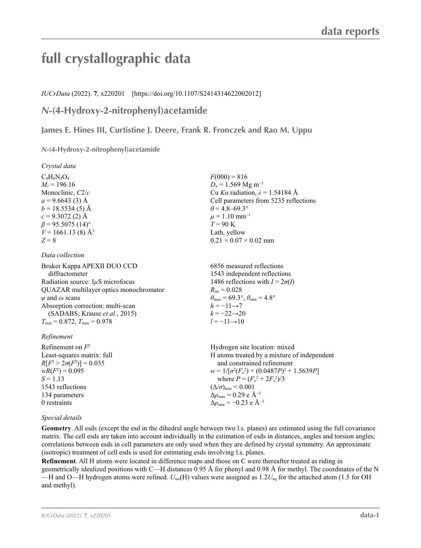# **full crystallographic data**

*IUCrData* (2022). **7**, x220201 [https://doi.org/10.1107/S2414314622002012]

## *N***-(4-Hydroxy-2-nitrophenyl)acetamide**

**James E. Hines III, Curtistine J. Deere, Frank R. Fronczek and Rao M. Uppu**

*N***-(4-Hydroxy-2-nitrophenyl)acetamide** 

*Crystal data*

 $C_8H_8N_2O_4$  $M_r = 196.16$ Monoclinic, *C*2/*c*  $a = 9.6643(3)$  Å  $b = 18.5534(5)$  Å  $c = 9.3072(2)$  Å  $\beta$  = 95.5075 (14)<sup>o</sup>  $V = 1661.13(8)$  Å<sup>3</sup>  $Z = 8$ 

### *Data collection*

Bruker Kappa APEXII DUO CCD diffractometer Radiation source: I*µ*S microfocus QUAZAR multilayer optics monochromator *φ* and *ω* scans Absorption correction: multi-scan (SADABS; Krause *et al.*, 2015)  $T_{\min} = 0.872, T_{\max} = 0.978$ 

### *Refinement*

Refinement on *F*<sup>2</sup> Least-squares matrix: full  $R[F^2 > 2\sigma(F^2)] = 0.035$  $wR(F^2) = 0.095$  $S = 1.13$ 1543 reflections 134 parameters 0 restraints Hydrogen site location: mixed H atoms treated by a mixture of independent and constrained refinement  $w = 1/[\sigma^2 (F_o^2) + (0.0487P)^2 + 1.5639P]$ where  $P = (F_o^2 + 2F_c^2)/3$  $(\Delta/\sigma)_{\text{max}}$  < 0.001  $\Delta\rho_{\text{max}} = 0.29$  e Å<sup>-3</sup>  $\Delta \rho_{\rm min} = -0.23$  e Å<sup>-3</sup>

### *Special details*

**Geometry**. All esds (except the esd in the dihedral angle between two l.s. planes) are estimated using the full covariance matrix. The cell esds are taken into account individually in the estimation of esds in distances, angles and torsion angles; correlations between esds in cell parameters are only used when they are defined by crystal symmetry. An approximate (isotropic) treatment of cell esds is used for estimating esds involving l.s. planes.

**Refinement**. All H atoms were located in difference maps and those on C were thereafter treated as riding in geometrically idealized positions with C—H distances 0.95 Å for phenyl and 0.98 Å for methyl. The coordinates of the N —H and O—H hydrogen atoms were refined. *U*iso(H) values were assigned as 1.2*U*eq for the attached atom (1.5 for OH and methyl).

 $F(000) = 816$  $D_x = 1.569$  Mg m<sup>-3</sup> Cu *Ka* radiation,  $\lambda = 1.54184 \text{ Å}$ Cell parameters from 5235 reflections  $\theta$  = 4.8–69.3°  $\mu = 1.10$  mm<sup>-1</sup> *T* = 90 K Lath, yellow  $0.21 \times 0.07 \times 0.02$  mm

6856 measured reflections 1543 independent reflections 1486 reflections with  $I > 2\sigma(I)$  $R_{\text{int}} = 0.028$  $\theta_{\text{max}} = 69.3^{\circ}, \theta_{\text{min}} = 4.8^{\circ}$  $h = -11 \rightarrow 7$  $k = -22 \rightarrow 20$  $l = -11 \rightarrow 10$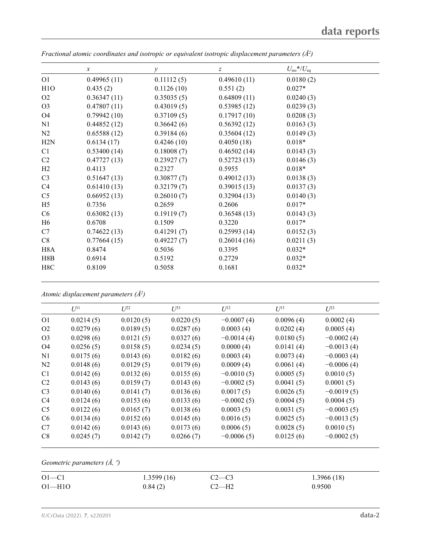|                  | $\boldsymbol{x}$ | $\mathcal{Y}$ | $\boldsymbol{Z}$ | $U_{\rm iso}*/U_{\rm eq}$ |  |
|------------------|------------------|---------------|------------------|---------------------------|--|
| O <sub>1</sub>   | 0.49965(11)      | 0.11112(5)    | 0.49610(11)      | 0.0180(2)                 |  |
| H <sub>1</sub> O | 0.435(2)         | 0.1126(10)    | 0.551(2)         | $0.027*$                  |  |
| O <sub>2</sub>   | 0.36347(11)      | 0.35035(5)    | 0.64809(11)      | 0.0240(3)                 |  |
| O <sub>3</sub>   | 0.47807(11)      | 0.43019(5)    | 0.53985(12)      | 0.0239(3)                 |  |
| O <sub>4</sub>   | 0.79942(10)      | 0.37109(5)    | 0.17917(10)      | 0.0208(3)                 |  |
| N1               | 0.44852(12)      | 0.36642(6)    | 0.56392(12)      | 0.0163(3)                 |  |
| N <sub>2</sub>   | 0.65588(12)      | 0.39184(6)    | 0.35604(12)      | 0.0149(3)                 |  |
| H2N              | 0.6134(17)       | 0.4246(10)    | 0.4050(18)       | $0.018*$                  |  |
| C <sub>1</sub>   | 0.53400(14)      | 0.18008(7)    | 0.46502(14)      | 0.0143(3)                 |  |
| C2               | 0.47727(13)      | 0.23927(7)    | 0.52723(13)      | 0.0146(3)                 |  |
| H2               | 0.4113           | 0.2327        | 0.5955           | $0.018*$                  |  |
| C <sub>3</sub>   | 0.51647(13)      | 0.30877(7)    | 0.49012(13)      | 0.0138(3)                 |  |
| C4               | 0.61410(13)      | 0.32179(7)    | 0.39015(13)      | 0.0137(3)                 |  |
| C <sub>5</sub>   | 0.66952(13)      | 0.26010(7)    | 0.32904(13)      | 0.0140(3)                 |  |
| H <sub>5</sub>   | 0.7356           | 0.2659        | 0.2606           | $0.017*$                  |  |
| C <sub>6</sub>   | 0.63082(13)      | 0.19119(7)    | 0.36548(13)      | 0.0143(3)                 |  |
| H <sub>6</sub>   | 0.6708           | 0.1509        | 0.3220           | $0.017*$                  |  |
| C7               | 0.74622(13)      | 0.41291(7)    | 0.25993(14)      | 0.0152(3)                 |  |
| C8               | 0.77664(15)      | 0.49227(7)    | 0.26014(16)      | 0.0211(3)                 |  |
| H <sub>8</sub> A | 0.8474           | 0.5036        | 0.3395           | $0.032*$                  |  |
| H8B              | 0.6914           | 0.5192        | 0.2729           | $0.032*$                  |  |
| H8C              | 0.8109           | 0.5058        | 0.1681           | $0.032*$                  |  |

*Fractional atomic coordinates and isotropic or equivalent isotropic displacement parameters (Å<sup>2</sup>)* 

*Atomic displacement parameters (Å2 )*

|                | $U^{11}$  | $U^{22}$  | $\mathcal{L}^{\beta 3}$ | $U^{12}$     | $U^{13}$  | $U^{23}$     |
|----------------|-----------|-----------|-------------------------|--------------|-----------|--------------|
| O <sub>1</sub> | 0.0214(5) | 0.0120(5) | 0.0220(5)               | $-0.0007(4)$ | 0.0096(4) | 0.0002(4)    |
| O <sub>2</sub> | 0.0279(6) | 0.0189(5) | 0.0287(6)               | 0.0003(4)    | 0.0202(4) | 0.0005(4)    |
| O <sub>3</sub> | 0.0298(6) | 0.0121(5) | 0.0327(6)               | $-0.0014(4)$ | 0.0180(5) | $-0.0002(4)$ |
| O <sub>4</sub> | 0.0256(5) | 0.0158(5) | 0.0234(5)               | 0.0000(4)    | 0.0141(4) | $-0.0013(4)$ |
| N <sub>1</sub> | 0.0175(6) | 0.0143(6) | 0.0182(6)               | 0.0003(4)    | 0.0073(4) | $-0.0003(4)$ |
| N <sub>2</sub> | 0.0148(6) | 0.0129(5) | 0.0179(6)               | 0.0009(4)    | 0.0061(4) | $-0.0006(4)$ |
| C <sub>1</sub> | 0.0142(6) | 0.0132(6) | 0.0155(6)               | $-0.0010(5)$ | 0.0005(5) | 0.0010(5)    |
| C <sub>2</sub> | 0.0143(6) | 0.0159(7) | 0.0143(6)               | $-0.0002(5)$ | 0.0041(5) | 0.0001(5)    |
| C <sub>3</sub> | 0.0140(6) | 0.0141(7) | 0.0136(6)               | 0.0017(5)    | 0.0026(5) | $-0.0019(5)$ |
| C <sub>4</sub> | 0.0124(6) | 0.0153(6) | 0.0133(6)               | $-0.0002(5)$ | 0.0004(5) | 0.0004(5)    |
| C <sub>5</sub> | 0.0122(6) | 0.0165(7) | 0.0138(6)               | 0.0003(5)    | 0.0031(5) | $-0.0003(5)$ |
| C <sub>6</sub> | 0.0134(6) | 0.0152(6) | 0.0145(6)               | 0.0016(5)    | 0.0025(5) | $-0.0013(5)$ |
| C7             | 0.0142(6) | 0.0143(6) | 0.0173(6)               | 0.0006(5)    | 0.0028(5) | 0.0010(5)    |
| C8             | 0.0245(7) | 0.0142(7) | 0.0266(7)               | $-0.0006(5)$ | 0.0125(6) | $-0.0002(5)$ |

*Geometric parameters (Å, º)*

| $O1 - C1$  | 1.3599(16) | $C2-C3$ | 1.3966(18) |
|------------|------------|---------|------------|
| $O1 - H1O$ | 0.84(2)    | $C2-H2$ | 0.9500     |